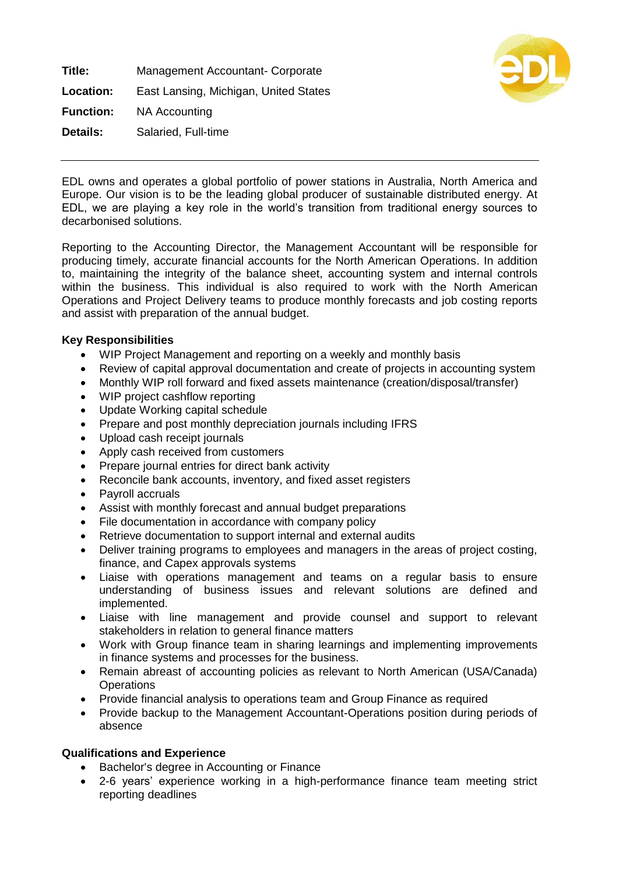**Title:** Management Accountant- Corporate **Location:** East Lansing, Michigan, United States **Function:** NA Accounting **Details:** Salaried, Full-time



EDL owns and operates a global portfolio of power stations in Australia, North America and Europe. Our vision is to be the leading global producer of sustainable distributed energy. At EDL, we are playing a key role in the world's transition from traditional energy sources to decarbonised solutions.

Reporting to the Accounting Director, the Management Accountant will be responsible for producing timely, accurate financial accounts for the North American Operations. In addition to, maintaining the integrity of the balance sheet, accounting system and internal controls within the business. This individual is also required to work with the North American Operations and Project Delivery teams to produce monthly forecasts and job costing reports and assist with preparation of the annual budget.

## **Key Responsibilities**

- WIP Project Management and reporting on a weekly and monthly basis
- Review of capital approval documentation and create of projects in accounting system
- Monthly WIP roll forward and fixed assets maintenance (creation/disposal/transfer)
- WIP project cashflow reporting
- Update Working capital schedule
- Prepare and post monthly depreciation journals including IFRS
- Upload cash receipt journals
- Apply cash received from customers
- Prepare journal entries for direct bank activity
- Reconcile bank accounts, inventory, and fixed asset registers
- Payroll accruals
- Assist with monthly forecast and annual budget preparations
- File documentation in accordance with company policy
- Retrieve documentation to support internal and external audits
- Deliver training programs to employees and managers in the areas of project costing, finance, and Capex approvals systems
- Liaise with operations management and teams on a regular basis to ensure understanding of business issues and relevant solutions are defined and implemented.
- Liaise with line management and provide counsel and support to relevant stakeholders in relation to general finance matters
- Work with Group finance team in sharing learnings and implementing improvements in finance systems and processes for the business.
- Remain abreast of accounting policies as relevant to North American (USA/Canada) **Operations**
- Provide financial analysis to operations team and Group Finance as required
- Provide backup to the Management Accountant-Operations position during periods of absence

## **Qualifications and Experience**

- Bachelor's degree in Accounting or Finance
- 2-6 years' experience working in a high-performance finance team meeting strict reporting deadlines